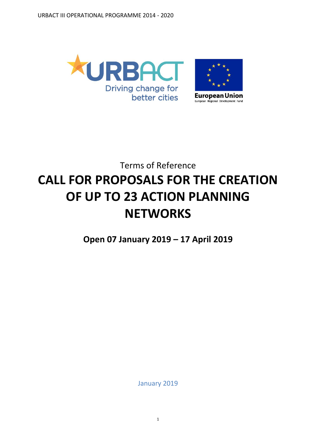

# Terms of Reference **CALL FOR PROPOSALS FOR THE CREATION OF UP TO 23 ACTION PLANNING NETWORKS**

**Open 07 January 2019 – 17 April 2019**

January 2019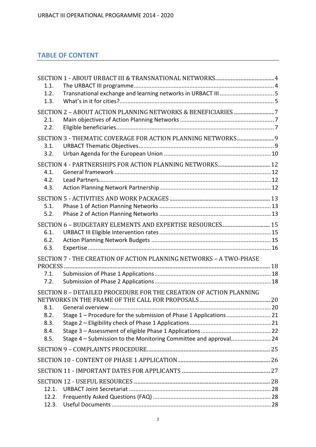# **TABLE OF CONTENT**

| 1.1.  |                                                                    |  |
|-------|--------------------------------------------------------------------|--|
| 1.2.  |                                                                    |  |
| 1.3.  |                                                                    |  |
|       |                                                                    |  |
| 2.1.  |                                                                    |  |
| 2.2.  |                                                                    |  |
|       |                                                                    |  |
| 3.1.  |                                                                    |  |
| 3.2.  |                                                                    |  |
|       |                                                                    |  |
| 4.1.  |                                                                    |  |
| 4.2.  |                                                                    |  |
| 4.3.  |                                                                    |  |
|       |                                                                    |  |
| 5.1.  |                                                                    |  |
| 5.2.  |                                                                    |  |
|       |                                                                    |  |
| 6.1.  |                                                                    |  |
| 6.2.  |                                                                    |  |
| 6.3.  |                                                                    |  |
|       | SECTION 7 - THE CREATION OF ACTION PLANNING NETWORKS - A TWO-PHASE |  |
|       |                                                                    |  |
| 7.1.  |                                                                    |  |
| 7.2.  |                                                                    |  |
|       | SECTION 8 - DETAILED PROCEDURE FOR THE CREATION OF ACTION PLANNING |  |
|       |                                                                    |  |
| 8.1.  |                                                                    |  |
| 8.2.  |                                                                    |  |
| 8.3.  |                                                                    |  |
| 8.4.  |                                                                    |  |
| 8.5.  | Stage 4 - Submission to the Monitoring Committee and approval 24   |  |
|       |                                                                    |  |
|       |                                                                    |  |
|       |                                                                    |  |
|       |                                                                    |  |
| 12.1. |                                                                    |  |
| 12.2. |                                                                    |  |
| 12.3. |                                                                    |  |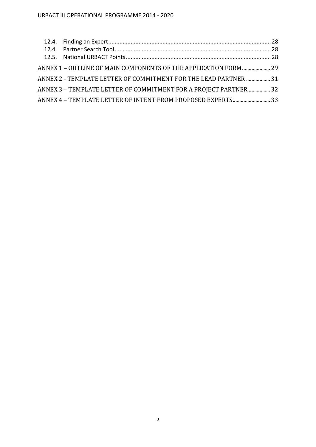| ANNEX 1 - OUTLINE OF MAIN COMPONENTS OF THE APPLICATION FORM 29   |  |
|-------------------------------------------------------------------|--|
| ANNEX 2 - TEMPLATE LETTER OF COMMITMENT FOR THE LEAD PARTNER  31  |  |
| ANNEX 3 - TEMPLATE LETTER OF COMMITMENT FOR A PROJECT PARTNER  32 |  |
| ANNEX 4 - TEMPLATE LETTER OF INTENT FROM PROPOSED EXPERTS 33      |  |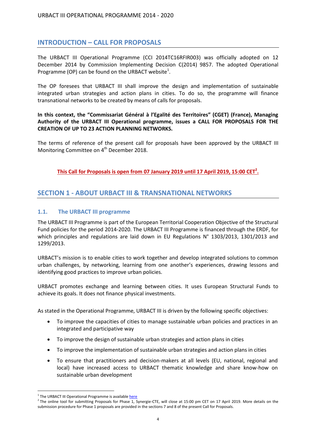## **INTRODUCTION – CALL FOR PROPOSALS**

The URBACT III Operational Programme (CCI 2014TC16RFIR003) was officially adopted on 12 December 2014 by Commission Implementing Decision C(2014) 9857. The adopted Operational Programme (OP) can be found on the URBACT website $^1$ .

The OP foresees that URBACT III shall improve the design and implementation of sustainable integrated urban strategies and action plans in cities. To do so, the programme will finance transnational networks to be created by means of calls for proposals.

**In this context, the "Commissariat Général à l'Egalité des Territoires" (CGET) (France), Managing Authority of the URBACT III Operational programme, issues a CALL FOR PROPOSALS FOR THE CREATION OF UP TO 23 ACTION PLANNING NETWORKS.**

The terms of reference of the present call for proposals have been approved by the URBACT III Monitoring Committee on 4<sup>th</sup> December 2018.

**This Call for Proposals is open from 07 January 2019 until 17 April 2019, 15:00 CET<sup>2</sup> .**

## <span id="page-3-0"></span>**SECTION 1 - ABOUT URBACT III & TRANSNATIONAL NETWORKS**

#### <span id="page-3-1"></span>**1.1. The URBACT III programme**

The URBACT III Programme is part of the European Territorial Cooperation Objective of the Structural Fund policies for the period 2014-2020. The URBACT III Programme is financed through the ERDF, for which principles and regulations are laid down in EU Regulations N° 1303/2013, 1301/2013 and 1299/2013.

URBACT's mission is to enable cities to work together and develop integrated solutions to common urban challenges, by networking, learning from one another's experiences, drawing lessons and identifying good practices to improve urban policies.

URBACT promotes exchange and learning between cities. It uses European Structural Funds to achieve its goals. It does not finance physical investments.

As stated in the Operational Programme, URBACT III is driven by the following specific objectives:

- To improve the capacities of cities to manage sustainable urban policies and practices in an integrated and participative way
- To improve the design of sustainable urban strategies and action plans in cities
- To improve the implementation of sustainable urban strategies and action plans in cities
- To ensure that practitioners and decision-makers at all levels (EU, national, regional and local) have increased access to URBACT thematic knowledge and share know-how on sustainable urban development

 $\overline{a}$ 

<sup>&</sup>lt;sup>1</sup> The URBACT III Operational Programme is availabl[e here](http://urbact.eu/sites/default/files/u_iii_op_adopted_12_december_2014.pdf)

<sup>&</sup>lt;sup>2</sup> The online tool for submitting Proposals for Phase 1, Synergie-CTE, will close at 15:00 pm CET on 17 April 2019. More details on the submission procedure for Phase 1 proposals are provided in the sections 7 and 8 of the present Call for Proposals.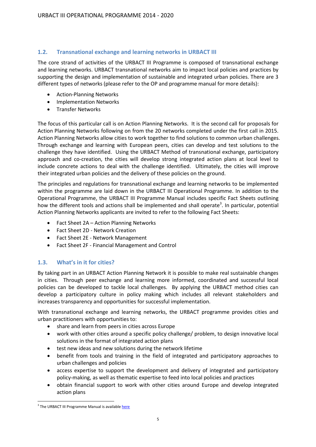## <span id="page-4-0"></span>**1.2. Transnational exchange and learning networks in URBACT III**

The core strand of activities of the URBACT III Programme is composed of transnational exchange and learning networks. URBACT transnational networks aim to impact local policies and practices by supporting the design and implementation of sustainable and integrated urban policies. There are 3 different types of networks (please refer to the OP and programme manual for more details):

- Action-Planning Networks
- **•** Implementation Networks
- **•** Transfer Networks

The focus of this particular call is on Action Planning Networks. It is the second call for proposals for Action Planning Networks following on from the 20 networks completed under the first call in 2015. Action Planning Networks allow cities to work together to find solutions to common urban challenges. Through exchange and learning with European peers, cities can develop and test solutions to the challenge they have identified. Using the URBACT Method of transnational exchange, participatory approach and co-creation, the cities will develop strong integrated action plans at local level to include concrete actions to deal with the challenge identified. Ultimately, the cities will improve their integrated urban policies and the delivery of these policies on the ground.

The principles and regulations for transnational exchange and learning networks to be implemented within the programme are laid down in the URBACT III Operational Programme. In addition to the Operational Programme, the URBACT III Programme Manual includes specific Fact Sheets outlining how the different tools and actions shall be implemented and shall operate<sup>3</sup>. In particular, potential Action Planning Networks applicants are invited to refer to the following Fact Sheets:

- Fact Sheet 2A Action Planning Networks
- Fact Sheet 2D Network Creation
- Fact Sheet 2E Network Management
- Fact Sheet 2F Financial Management and Control

## <span id="page-4-1"></span>**1.3. What's in it for cities?**

By taking part in an URBACT Action Planning Network it is possible to make real sustainable changes in cities. Through peer exchange and learning more informed, coordinated and successful local policies can be developed to tackle local challenges. By applying the URBACT method cities can develop a participatory culture in policy making which includes all relevant stakeholders and increases transparency and opportunities for successful implementation.

With transnational exchange and learning networks, the URBACT programme provides cities and urban practitioners with opportunities to:

- share and learn from peers in cities across Europe
- work with other cities around a specific policy challenge/ problem, to design innovative local solutions in the format of integrated action plans
- test new ideas and new solutions during the network lifetime
- benefit from tools and training in the field of integrated and participatory approaches to urban challenges and policies
- access expertise to support the development and delivery of integrated and participatory policy-making, as well as thematic expertise to feed into local policies and practices
- obtain financial support to work with other cities around Europe and develop integrated action plans

 $\overline{a}$ <sup>3</sup> The URBACT III Programme Manual is availabl[e here](http://urbact.eu/files/urbact-iii-programme-manual)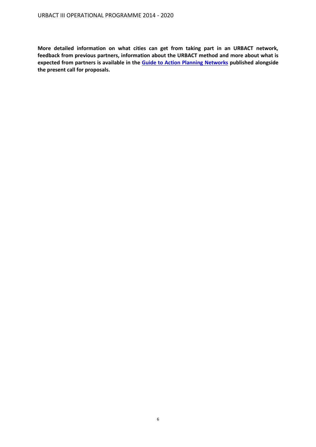**More detailed information on what cities can get from taking part in an URBACT network, feedback from previous partners, information about the URBACT method and more about what is expected from partners is available in the Guide to [Action Planning](http://urbact.eu/files/guide-action-planning-networks-phase-1-2019) Networks published alongside the present call for proposals.**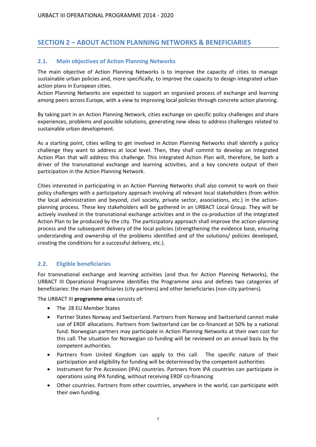# <span id="page-6-0"></span>**SECTION 2 – ABOUT ACTION PLANNING NETWORKS & BENEFICIARIES**

### <span id="page-6-1"></span>**2.1. Main objectives of Action Planning Networks**

The main objective of Action Planning Networks is to improve the capacity of cities to manage sustainable urban policies and, more specifically, to improve the capacity to design integrated urban action plans in European cities.

Action Planning Networks are expected to support an organised process of exchange and learning among peers across Europe, with a view to improving local policies through concrete action planning.

By taking part in an Action Planning Network, cities exchange on specific policy challenges and share experiences, problems and possible solutions, generating new ideas to address challenges related to sustainable urban development.

As a starting point, cities willing to get involved in Action Planning Networks shall identify a policy challenge they want to address at local level. Then, they shall commit to develop an Integrated Action Plan that will address this challenge. This Integrated Action Plan will, therefore, be both a driver of the transnational exchange and learning activities, and a key concrete output of their participation in the Action Planning Network.

Cities interested in participating in an Action Planning Networks shall also commit to work on their policy challenges with a participatory approach involving all relevant local stakeholders (from within the local administration and beyond, civil society, private sector, associations, etc.) in the actionplanning process. These key stakeholders will be gathered in an URBACT Local Group. They will be actively involved in the transnational exchange activities and in the co-production of the Integrated Action Plan to be produced by the city. The participatory approach shall improve the action-planning process and the subsequent delivery of the local policies (strengthening the evidence base, ensuring understanding and ownership of the problems identified and of the solutions/ policies developed, creating the conditions for a successful delivery, etc.).

## <span id="page-6-2"></span>**2.2. Eligible beneficiaries**

For transnational exchange and learning activities (and thus for Action Planning Networks), the URBACT III Operational Programme identifies the Programme area and defines two categories of beneficiaries: the main beneficiaries (city partners) and other beneficiaries (non-city partners).

The URBACT III **programme area** consists of:

- The 28 EU Member States
- Partner States Norway and Switzerland. Partners from Norway and Switzerland cannot make use of ERDF allocations. Partners from Switzerland can be co-financed at 50% by a national fund. Norwegian partners may participate in Action Planning Networks at their own cost for this call. The situation for Norwegian co-funding will be reviewed on an annual basis by the competent authorities.
- Partners from United Kingdom can apply to this call. The specific nature of their participation and eligibility for funding will be determined by the competent authorities
- Instrument for Pre Accession (IPA) countries. Partners from IPA countries can participate in operations using IPA funding, without receiving ERDF co-financing
- Other countries. Partners from other countries, anywhere in the world, can participate with their own funding.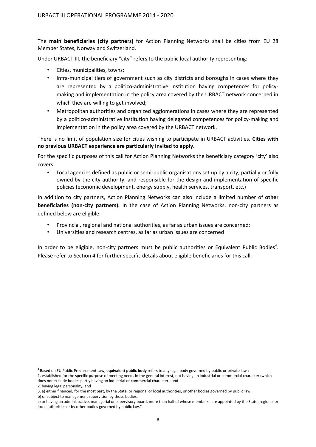The **main beneficiaries (city partners)** for Action Planning Networks shall be cities from EU 28 Member States, Norway and Switzerland.

Under URBACT III, the beneficiary "city" refers to the public local authority representing:

- Cities, municipalities, towns;
- Infra-municipal tiers of government such as city districts and boroughs in cases where they are represented by a politico-administrative institution having competences for policymaking and implementation in the policy area covered by the URBACT network concerned in which they are willing to get involved;
- Metropolitan authorities and organized agglomerations in cases where they are represented by a politico-administrative institution having delegated competences for policy-making and implementation in the policy area covered by the URBACT network.

There is no limit of population size for cities wishing to participate in URBACT activities**. Cities with no previous URBACT experience are particularly invited to apply.**

For the specific purposes of this call for Action Planning Networks the beneficiary category 'city' also covers:

• Local agencies defined as public or semi-public organisations set up by a city, partially or fully owned by the city authority, and responsible for the design and implementation of specific policies (economic development, energy supply, health services, transport, etc.)

In addition to city partners, Action Planning Networks can also include a limited number of **other beneficiaries (non-city partners).** In the case of Action Planning Networks, non-city partners as defined below are eligible:

- Provincial, regional and national authorities, as far as urban issues are concerned;
- Universities and research centres, as far as urban issues are concerned

In order to be eligible, non-city partners must be public authorities or Equivalent Public Bodies<sup>4</sup>. Please refer to Section 4 for further specific details about eligible beneficiaries for this call.

 $\overline{a}$ 

<sup>4</sup> Based on EU Public Procurement Law, **equivalent public body** refers to any legal body governed by public or private law :

<sup>1.</sup> established for the specific purpose of meeting needs in the general interest, not having an industrial or commercial character (which does not exclude bodies partly having an industrial or commercial character), and

<sup>2.</sup> having legal personality, and

<sup>3.</sup> a) either financed, for the most part, by the State, or regional or local authorities, or other bodies governed by public law,

b) or subject to management supervision by those bodies,

c) or having an administrative, managerial or supervisory board, more than half of whose members are appointed by the State, regional or local authorities or by other bodies governed by public law."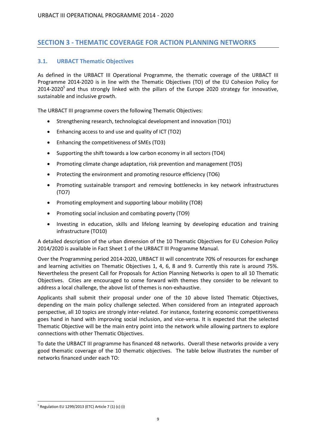# <span id="page-8-0"></span>**SECTION 3 - THEMATIC COVERAGE FOR ACTION PLANNING NETWORKS**

## <span id="page-8-1"></span>**3.1. URBACT Thematic Objectives**

As defined in the URBACT III Operational Programme, the thematic coverage of the URBACT III Programme 2014-2020 is in line with the Thematic Objectives (TO) of the EU Cohesion Policy for 2014-2020<sup>5</sup> and thus strongly linked with the pillars of the Europe 2020 strategy for innovative, sustainable and inclusive growth.

The URBACT III programme covers the following Thematic Objectives:

- Strengthening research, technological development and innovation (TO1)
- Enhancing access to and use and quality of ICT (TO2)
- Enhancing the competitiveness of SMEs (TO3)
- Supporting the shift towards a low carbon economy in all sectors (TO4)
- Promoting climate change adaptation, risk prevention and management (TO5)
- Protecting the environment and promoting resource efficiency (TO6)
- Promoting sustainable transport and removing bottlenecks in key network infrastructures (TO7)
- Promoting employment and supporting labour mobility (TO8)
- Promoting social inclusion and combating poverty (TO9)
- Investing in education, skills and lifelong learning by developing education and training infrastructure (TO10)

A detailed description of the urban dimension of the 10 Thematic Objectives for EU Cohesion Policy 2014/2020 is available in Fact Sheet 1 of the URBACT III Programme Manual.

Over the Programming period 2014-2020, URBACT III will concentrate 70% of resources for exchange and learning activities on Thematic Objectives 1, 4, 6, 8 and 9. Currently this rate is around 75%. Nevertheless the present Call for Proposals for Action Planning Networks is open to all 10 Thematic Objectives. Cities are encouraged to come forward with themes they consider to be relevant to address a local challenge, the above list of themes is non-exhaustive.

Applicants shall submit their proposal under one of the 10 above listed Thematic Objectives, depending on the main policy challenge selected. When considered from an integrated approach perspective, all 10 topics are strongly inter-related. For instance, fostering economic competitiveness goes hand in hand with improving social inclusion, and vice-versa. It is expected that the selected Thematic Objective will be the main entry point into the network while allowing partners to explore connections with other Thematic Objectives.

To date the URBACT III programme has financed 48 networks. Overall these networks provide a very good thematic coverage of the 10 thematic objectives. The table below illustrates the number of networks financed under each TO:

 $\overline{a}$ <sup>5</sup> Regulation EU 1299/2013 (ETC) Article 7 (1) (c) (i)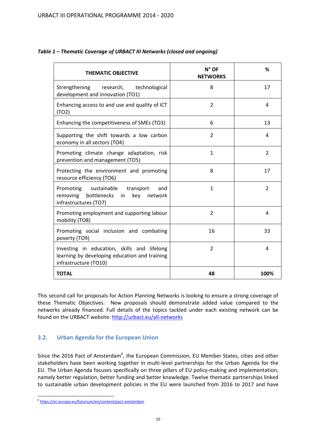| <b>THEMATIC OBJECTIVE</b>                                                                                             | $N^{\circ}$ OF<br><b>NETWORKS</b> | ℅              |
|-----------------------------------------------------------------------------------------------------------------------|-----------------------------------|----------------|
| Strengthening research, technological<br>development and innovation (TO1)                                             | 8                                 | 17             |
| Enhancing access to and use and quality of ICT<br>(TO2)                                                               | $\overline{2}$                    | 4              |
| Enhancing the competitiveness of SMEs (TO3)                                                                           | 6                                 | 13             |
| Supporting the shift towards a low carbon<br>economy in all sectors (TO4)                                             | $\overline{2}$                    | 4              |
| Promoting climate change adaptation, risk<br>prevention and management (TO5)                                          | $\mathbf{1}$                      | 2              |
| Protecting the environment and promoting<br>resource efficiency (TO6)                                                 | 8                                 | 17             |
| Promoting sustainable transport<br>and<br>bottlenecks in<br>removing<br>key<br>network<br>infrastructures (TO7)       | $\mathbf{1}$                      | $\overline{2}$ |
| Promoting employment and supporting labour<br>mobility (TO8)                                                          | $\overline{2}$                    | 4              |
| Promoting social inclusion and combating<br>poverty (TO9)                                                             | 16                                | 33             |
| Investing in education, skills and lifelong<br>learning by developing education and training<br>infrastructure (TO10) | $\overline{2}$                    | 4              |
| <b>TOTAL</b>                                                                                                          | 48                                | 100%           |

## *Table 1 – Thematic Coverage of URBACT III Networks (closed and ongoing)*

This second call for proposals for Action Planning Networks is looking to ensure a strong coverage of these Thematic Objectives. New proposals should demonstrate added value compared to the networks already financed. Full details of the topics tackled under each existing network can be found on the URBACT website:<http://urbact.eu/all-networks>

## <span id="page-9-0"></span>**3.2. Urban Agenda for the European Union**

Since the 2016 Pact of Amsterdam<sup>6</sup>, the European Commission, EU Member States, cities and other stakeholders have been working together in multi-level partnerships for the Urban Agenda for the EU. The Urban Agenda focuses specifically on three pillars of EU policy-making and implementation, namely better regulation, better funding and better knowledge. Twelve thematic partnerships linked to sustainable urban development policies in the EU were launched from 2016 to 2017 and have

e<br>Fittps://ec.europa.eu/futurium/en/content/pact-amsterdam<br>-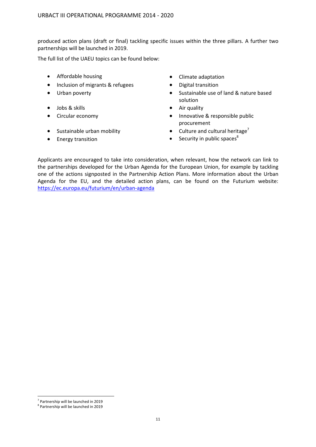produced action plans (draft or final) tackling specific issues within the three pillars. A further two partnerships will be launched in 2019.

The full list of the UAEU topics can be found below:

- Affordable housing **Climate adaptation**
- Inclusion of migrants & refugees Digital transition
- 
- Jobs & skills **Air quality Air quality**
- 
- 
- 
- 
- 
- Urban poverty **Sustainable use of land & nature based** solution
	-
- Circular economy **Innovative & responsible public** procurement
- Sustainable urban mobility  $\bullet$  Culture and cultural heritage<sup>7</sup>
- Energy transition **Security in public spaces Security** in public spaces

Applicants are encouraged to take into consideration, when relevant, how the network can link to the partnerships developed for the Urban Agenda for the European Union, for example by tackling one of the actions signposted in the Partnership Action Plans. More information about the Urban Agenda for the EU, and the detailed action plans, can be found on the Futurium website: <https://ec.europa.eu/futurium/en/urban-agenda>

 $\overline{a}$ 

<sup>&</sup>lt;sup>7</sup> Partnership will be launched in 2019

<sup>8</sup> Partnership will be launched in 2019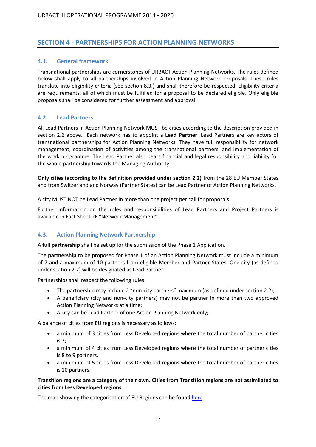## <span id="page-11-0"></span>**SECTION 4 - PARTNERSHIPS FOR ACTION PLANNING NETWORKS**

### <span id="page-11-1"></span>**4.1. General framework**

Transnational partnerships are cornerstones of URBACT Action Planning Networks. The rules defined below shall apply to all partnerships involved in Action Planning Network proposals. These rules translate into eligibility criteria (see section 8.3.) and shall therefore be respected. Eligibility criteria are requirements, all of which must be fulfilled for a proposal to be declared eligible. Only eligible proposals shall be considered for further assessment and approval.

## <span id="page-11-2"></span>**4.2. Lead Partners**

All Lead Partners in Action Planning Network MUST be cities according to the description provided in section 2.2 above. Each network has to appoint a **Lead Partner**. Lead Partners are key actors of transnational partnerships for Action Planning Networks. They have full responsibility for network management, coordination of activities among the transnational partners, and implementation of the work programme. The Lead Partner also bears financial and legal responsibility and liability for the whole partnership towards the Managing Authority.

**Only cities (according to the definition provided under section 2.2)** from the 28 EU Member States and from Switzerland and Norway (Partner States) can be Lead Partner of Action Planning Networks.

A city MUST NOT be Lead Partner in more than one project per call for proposals.

Further information on the roles and responsibilities of Lead Partners and Project Partners is available in Fact Sheet 2E "Network Management".

#### <span id="page-11-3"></span>**4.3. Action Planning Network Partnership**

A **full partnership** shall be set up for the submission of the Phase 1 Application.

The **partnership** to be proposed for Phase 1 of an Action Planning Network must include a minimum of 7 and a maximum of 10 partners from eligible Member and Partner States. One city (as defined under section 2.2) will be designated as Lead Partner.

Partnerships shall respect the following rules:

- The partnership may include 2 "non-city partners" maximum (as defined under section 2.2);
- A beneficiary (city and non-city partners) may not be partner in more than two approved Action Planning Networks at a time;
- A city can be Lead Partner of one Action Planning Network only;

A balance of cities from EU regions is necessary as follows:

- a minimum of 3 cities from Less Developed regions where the total number of partner cities is 7;
- a minimum of 4 cities from Less Developed regions where the total number of partner cities is 8 to 9 partners.
- a minimum of 5 cities from Less Developed regions where the total number of partner cities is 10 partners.

#### **Transition regions are a category of their own. Cities from Transition regions are not assimilated to cities from Less Developed regions**

The map showing the categorisation of EU Regions can be foun[d here.](http://ec.europa.eu/regional_policy/sources/what/future/img/eligibility20142020.pdf)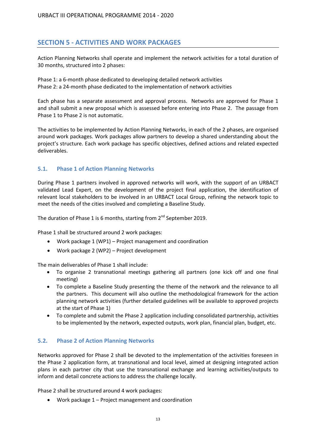## <span id="page-12-0"></span>**SECTION 5 - ACTIVITIES AND WORK PACKAGES**

Action Planning Networks shall operate and implement the network activities for a total duration of 30 months, structured into 2 phases:

Phase 1: a 6-month phase dedicated to developing detailed network activities Phase 2: a 24-month phase dedicated to the implementation of network activities

Each phase has a separate assessment and approval process. Networks are approved for Phase 1 and shall submit a new proposal which is assessed before entering into Phase 2. The passage from Phase 1 to Phase 2 is not automatic.

The activities to be implemented by Action Planning Networks, in each of the 2 phases, are organised around work packages. Work packages allow partners to develop a shared understanding about the project's structure. Each work package has specific objectives, defined actions and related expected deliverables.

#### <span id="page-12-1"></span>**5.1. Phase 1 of Action Planning Networks**

During Phase 1 partners involved in approved networks will work, with the support of an URBACT validated Lead Expert, on the development of the project final application, the identification of relevant local stakeholders to be involved in an URBACT Local Group, refining the network topic to meet the needs of the cities involved and completing a Baseline Study.

The duration of Phase 1 is 6 months, starting from 2<sup>nd</sup> September 2019.

Phase 1 shall be structured around 2 work packages:

- Work package 1 (WP1) Project management and coordination
- Work package 2 (WP2) Project development

The main deliverables of Phase 1 shall include:

- To organise 2 transnational meetings gathering all partners (one kick off and one final meeting)
- To complete a Baseline Study presenting the theme of the network and the relevance to all the partners. This document will also outline the methodological framework for the action planning network activities (further detailed guidelines will be available to approved projects at the start of Phase 1)
- To complete and submit the Phase 2 application including consolidated partnership, activities to be implemented by the network, expected outputs, work plan, financial plan, budget, etc.

#### <span id="page-12-2"></span>**5.2. Phase 2 of Action Planning Networks**

Networks approved for Phase 2 shall be devoted to the implementation of the activities foreseen in the Phase 2 application form, at transnational and local level, aimed at designing integrated action plans in each partner city that use the transnational exchange and learning activities/outputs to inform and detail concrete actions to address the challenge locally.

Phase 2 shall be structured around 4 work packages:

Work package 1 – Project management and coordination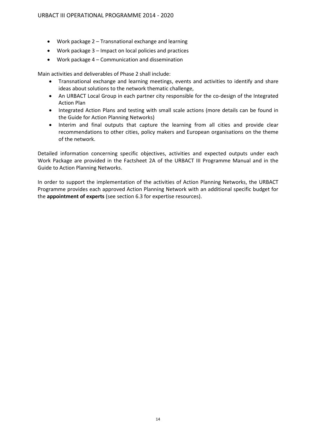- Work package 2 Transnational exchange and learning
- Work package 3 Impact on local policies and practices
- Work package 4 Communication and dissemination

Main activities and deliverables of Phase 2 shall include:

- Transnational exchange and learning meetings, events and activities to identify and share ideas about solutions to the network thematic challenge,
- An URBACT Local Group in each partner city responsible for the co-design of the Integrated Action Plan
- Integrated Action Plans and testing with small scale actions (more details can be found in the Guide for Action Planning Networks)
- Interim and final outputs that capture the learning from all cities and provide clear recommendations to other cities, policy makers and European organisations on the theme of the network.

Detailed information concerning specific objectives, activities and expected outputs under each Work Package are provided in the Factsheet 2A of the URBACT III Programme Manual and in the Guide to Action Planning Networks.

In order to support the implementation of the activities of Action Planning Networks, the URBACT Programme provides each approved Action Planning Network with an additional specific budget for the **appointment of experts** (see section 6.3 for expertise resources).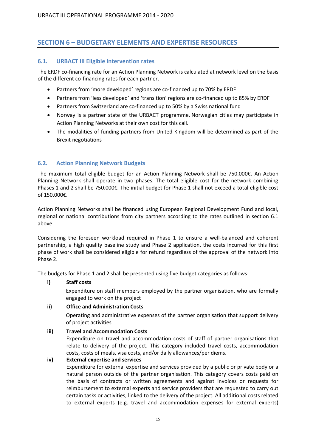# <span id="page-14-0"></span>**SECTION 6 – BUDGETARY ELEMENTS AND EXPERTISE RESOURCES**

### <span id="page-14-1"></span>**6.1. URBACT III Eligible Intervention rates**

The ERDF co-financing rate for an Action Planning Network is calculated at network level on the basis of the different co-financing rates for each partner.

- Partners from 'more developed' regions are co-financed up to 70% by ERDF
- Partners from 'less developed' and 'transition' regions are co-financed up to 85% by ERDF
- Partners from Switzerland are co-financed up to 50% by a Swiss national fund
- Norway is a partner state of the URBACT programme. Norwegian cities may participate in Action Planning Networks at their own cost for this call.
- The modalities of funding partners from United Kingdom will be determined as part of the Brexit negotiations

## <span id="page-14-2"></span>**6.2. Action Planning Network Budgets**

The maximum total eligible budget for an Action Planning Network shall be 750.000€. An Action Planning Network shall operate in two phases. The total eligible cost for the network combining Phases 1 and 2 shall be 750.000€. The initial budget for Phase 1 shall not exceed a total eligible cost of 150.000€.

Action Planning Networks shall be financed using European Regional Development Fund and local, regional or national contributions from city partners according to the rates outlined in section 6.1 above.

Considering the foreseen workload required in Phase 1 to ensure a well-balanced and coherent partnership, a high quality baseline study and Phase 2 application, the costs incurred for this first phase of work shall be considered eligible for refund regardless of the approval of the network into Phase 2.

The budgets for Phase 1 and 2 shall be presented using five budget categories as follows:

#### **i) Staff costs**

Expenditure on staff members employed by the partner organisation, who are formally engaged to work on the project

#### **ii) Office and Administration Costs**

Operating and administrative expenses of the partner organisation that support delivery of project activities

#### **iii) Travel and Accommodation Costs**

Expenditure on travel and accommodation costs of staff of partner organisations that relate to delivery of the project. This category included travel costs, accommodation costs, costs of meals, visa costs, and/or daily allowances/per diems.

#### **iv) External expertise and services**

Expenditure for external expertise and services provided by a public or private body or a natural person outside of the partner organisation. This category covers costs paid on the basis of contracts or written agreements and against invoices or requests for reimbursement to external experts and service providers that are requested to carry out certain tasks or activities, linked to the delivery of the project. All additional costs related to external experts (e.g. travel and accommodation expenses for external experts)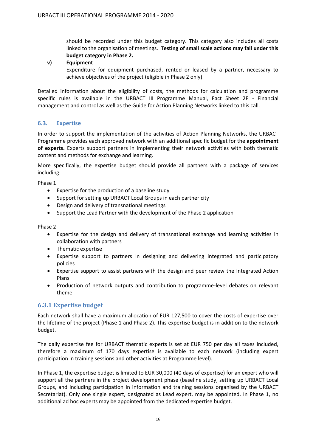should be recorded under this budget category. This category also includes all costs linked to the organisation of meetings. **Testing of small scale actions may fall under this budget category in Phase 2.**

#### **v) Equipment**

Expenditure for equipment purchased, rented or leased by a partner, necessary to achieve objectives of the project (eligible in Phase 2 only).

Detailed information about the eligibility of costs, the methods for calculation and programme specific rules is available in the URBACT III Programme Manual, Fact Sheet 2F - Financial management and control as well as the Guide for Action Planning Networks linked to this call.

## <span id="page-15-0"></span>**6.3. Expertise**

In order to support the implementation of the activities of Action Planning Networks, the URBACT Programme provides each approved network with an additional specific budget for the **appointment of experts.** Experts support partners in implementing their network activities with both thematic content and methods for exchange and learning.

More specifically, the expertise budget should provide all partners with a package of services including:

Phase 1

- Expertise for the production of a baseline study
- Support for setting up URBACT Local Groups in each partner city
- Design and delivery of transnational meetings
- Support the Lead Partner with the development of the Phase 2 application

Phase 2

- Expertise for the design and delivery of transnational exchange and learning activities in collaboration with partners
- Thematic expertise
- Expertise support to partners in designing and delivering integrated and participatory policies
- Expertise support to assist partners with the design and peer review the Integrated Action Plans
- Production of network outputs and contribution to programme-level debates on relevant theme

## **6.3.1 Expertise budget**

Each network shall have a maximum allocation of EUR 127,500 to cover the costs of expertise over the lifetime of the project (Phase 1 and Phase 2). This expertise budget is in addition to the network budget.

The daily expertise fee for URBACT thematic experts is set at EUR 750 per day all taxes included, therefore a maximum of 170 days expertise is available to each network (including expert participation in training sessions and other activities at Programme level).

In Phase 1, the expertise budget is limited to EUR 30,000 (40 days of expertise) for an expert who will support all the partners in the project development phase (baseline study, setting up URBACT Local Groups, and including participation in information and training sessions organised by the URBACT Secretariat). Only one single expert, designated as Lead expert, may be appointed. In Phase 1, no additional ad hoc experts may be appointed from the dedicated expertise budget.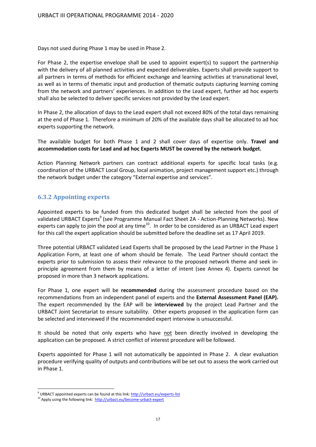Days not used during Phase 1 may be used in Phase 2.

For Phase 2, the expertise envelope shall be used to appoint expert(s) to support the partnership with the delivery of all planned activities and expected deliverables. Experts shall provide support to all partners in terms of methods for efficient exchange and learning activities at transnational level, as well as in terms of thematic input and production of thematic outputs capturing learning coming from the network and partners' experiences. In addition to the Lead expert, further ad hoc experts shall also be selected to deliver specific services not provided by the Lead expert.

In Phase 2, the allocation of days to the Lead expert shall not exceed 80% of the total days remaining at the end of Phase 1. Therefore a minimum of 20% of the available days shall be allocated to ad hoc experts supporting the network.

The available budget for both Phase 1 and 2 shall cover days of expertise only. **Travel and accommodation costs for Lead and ad hoc Experts MUST be covered by the network budget.**

Action Planning Network partners can contract additional experts for specific local tasks (e.g. coordination of the URBACT Local Group, local animation, project management support etc.) through the network budget under the category "External expertise and services".

## **6.3.2 Appointing experts**

Appointed experts to be funded from this dedicated budget shall be selected from the pool of validated URBACT Experts<sup>9</sup> (see Programme Manual Fact Sheet 2A - Action-Planning Networks). New experts can apply to join the pool at any time<sup>10</sup>. In order to be considered as an URBACT Lead expert for this call the expert application should be submitted before the deadline set as 17 April 2019.

Three potential URBACT validated Lead Experts shall be proposed by the Lead Partner in the Phase 1 Application Form, at least one of whom should be female. The Lead Partner should contact the experts prior to submission to assess their relevance to the proposed network theme and seek inprinciple agreement from them by means of a letter of intent (see Annex 4). Experts cannot be proposed in more than 3 network applications.

For Phase 1, one expert will be **recommended** during the assessment procedure based on the recommendations from an independent panel of experts and the **External Assessment Panel (EAP).**  The expert recommended by the EAP will be **interviewed** by the project Lead Partner and the URBACT Joint Secretariat to ensure suitability. Other experts proposed in the application form can be selected and interviewed if the recommended expert interview is unsuccessful.

It should be noted that only experts who have not been directly involved in developing the application can be proposed. A strict conflict of interest procedure will be followed.

Experts appointed for Phase 1 will not automatically be appointed in Phase 2. A clear evaluation procedure verifying quality of outputs and contributions will be set out to assess the work carried out in Phase 1.

 $\overline{a}$ 

<sup>&</sup>lt;sup>9</sup> URBACT appointed experts can be found at this link: <http://urbact.eu/experts-list>

<sup>&</sup>lt;sup>10</sup> Apply using the following link: <http://urbact.eu/become-urbact-expert>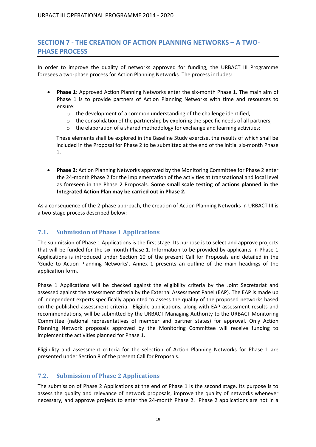# <span id="page-17-0"></span>**SECTION 7 - THE CREATION OF ACTION PLANNING NETWORKS – A TWO-PHASE PROCESS**

In order to improve the quality of networks approved for funding, the URBACT III Programme foresees a two-phase process for Action Planning Networks. The process includes:

- **Phase 1**: Approved Action Planning Networks enter the six-month Phase 1. The main aim of Phase 1 is to provide partners of Action Planning Networks with time and resources to ensure:
	- o the development of a common understanding of the challenge identified,
	- $\circ$  the consolidation of the partnership by exploring the specific needs of all partners,
	- $\circ$  the elaboration of a shared methodology for exchange and learning activities;

These elements shall be explored in the Baseline Study exercise, the results of which shall be included in the Proposal for Phase 2 to be submitted at the end of the initial six-month Phase 1.

 **Phase 2**: Action Planning Networks approved by the Monitoring Committee for Phase 2 enter the 24-month Phase 2 for the implementation of the activities at transnational and local level as foreseen in the Phase 2 Proposals. **Some small scale testing of actions planned in the Integrated Action Plan may be carried out in Phase 2.**

As a consequence of the 2-phase approach, the creation of Action Planning Networks in URBACT III is a two-stage process described below:

## <span id="page-17-1"></span>**7.1. Submission of Phase 1 Applications**

The submission of Phase 1 Applications is the first stage. Its purpose is to select and approve projects that will be funded for the six-month Phase 1. Information to be provided by applicants in Phase 1 Applications is introduced under Section 10 of the present Call for Proposals and detailed in the 'Guide to Action Planning Networks'. Annex 1 presents an outline of the main headings of the application form.

Phase 1 Applications will be checked against the eligibility criteria by the Joint Secretariat and assessed against the assessment criteria by the External Assessment Panel (EAP). The EAP is made up of independent experts specifically appointed to assess the quality of the proposed networks based on the published assessment criteria. Eligible applications, along with EAP assessment results and recommendations, will be submitted by the URBACT Managing Authority to the URBACT Monitoring Committee (national representatives of member and partner states) for approval. Only Action Planning Network proposals approved by the Monitoring Committee will receive funding to implement the activities planned for Phase 1.

Eligibility and assessment criteria for the selection of Action Planning Networks for Phase 1 are presented under Section 8 of the present Call for Proposals.

## <span id="page-17-2"></span>**7.2. Submission of Phase 2 Applications**

The submission of Phase 2 Applications at the end of Phase 1 is the second stage. Its purpose is to assess the quality and relevance of network proposals, improve the quality of networks whenever necessary, and approve projects to enter the 24-month Phase 2. Phase 2 applications are not in a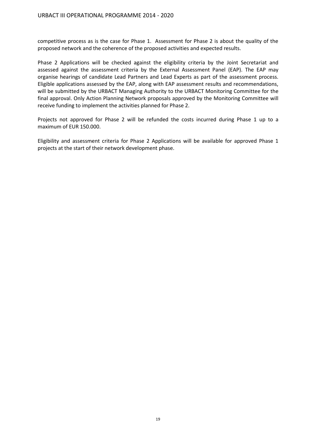competitive process as is the case for Phase 1. Assessment for Phase 2 is about the quality of the proposed network and the coherence of the proposed activities and expected results.

Phase 2 Applications will be checked against the eligibility criteria by the Joint Secretariat and assessed against the assessment criteria by the External Assessment Panel (EAP). The EAP may organise hearings of candidate Lead Partners and Lead Experts as part of the assessment process. Eligible applications assessed by the EAP, along with EAP assessment results and recommendations, will be submitted by the URBACT Managing Authority to the URBACT Monitoring Committee for the final approval. Only Action Planning Network proposals approved by the Monitoring Committee will receive funding to implement the activities planned for Phase 2.

Projects not approved for Phase 2 will be refunded the costs incurred during Phase 1 up to a maximum of EUR 150.000.

Eligibility and assessment criteria for Phase 2 Applications will be available for approved Phase 1 projects at the start of their network development phase.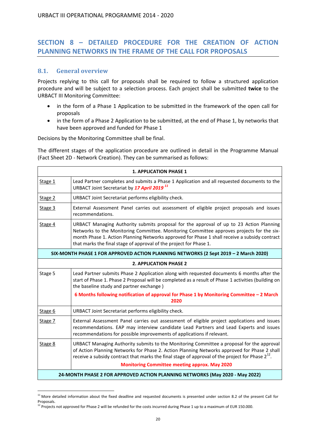# <span id="page-19-0"></span>**SECTION 8 – DETAILED PROCEDURE FOR THE CREATION OF ACTION PLANNING NETWORKS IN THE FRAME OF THE CALL FOR PROPOSALS**

## <span id="page-19-1"></span>**8.1. General overview**

 $\overline{a}$ 

Projects replying to this call for proposals shall be required to follow a structured application procedure and will be subject to a selection process. Each project shall be submitted **twice** to the URBACT III Monitoring Committee:

- in the form of a Phase 1 Application to be submitted in the framework of the open call for proposals
- in the form of a Phase 2 Application to be submitted, at the end of Phase 1, by networks that have been approved and funded for Phase 1

Decisions by the Monitoring Committee shall be final.

The different stages of the application procedure are outlined in detail in the Programme Manual (Fact Sheet 2D - Network Creation). They can be summarised as follows:

| <b>1. APPLICATION PHASE 1</b>                                                        |                                                                                                                                                                                                                                                                                                                                                             |  |
|--------------------------------------------------------------------------------------|-------------------------------------------------------------------------------------------------------------------------------------------------------------------------------------------------------------------------------------------------------------------------------------------------------------------------------------------------------------|--|
| Stage 1                                                                              | Lead Partner completes and submits a Phase 1 Application and all requested documents to the<br>URBACT Joint Secretariat by 17 April 2019 <sup>11</sup>                                                                                                                                                                                                      |  |
| Stage 2                                                                              | URBACT Joint Secretariat performs eligibility check.                                                                                                                                                                                                                                                                                                        |  |
| Stage 3                                                                              | External Assessment Panel carries out assessment of eligible project proposals and issues<br>recommendations.                                                                                                                                                                                                                                               |  |
| Stage 4                                                                              | URBACT Managing Authority submits proposal for the approval of up to 23 Action Planning<br>Networks to the Monitoring Committee. Monitoring Committee approves projects for the six-<br>month Phase 1. Action Planning Networks approved for Phase 1 shall receive a subsidy contract<br>that marks the final stage of approval of the project for Phase 1. |  |
| SIX-MONTH PHASE 1 FOR APPROVED ACTION PLANNING NETWORKS (2 Sept 2019 - 2 March 2020) |                                                                                                                                                                                                                                                                                                                                                             |  |
| <b>2. APPLICATION PHASE 2</b>                                                        |                                                                                                                                                                                                                                                                                                                                                             |  |
| Stage 5                                                                              | Lead Partner submits Phase 2 Application along with requested documents 6 months after the<br>start of Phase 1. Phase 2 Proposal will be completed as a result of Phase 1 activities (building on<br>the baseline study and partner exchange)                                                                                                               |  |
|                                                                                      | 6 Months following notification of approval for Phase 1 by Monitoring Committee - 2 March<br>2020                                                                                                                                                                                                                                                           |  |
| Stage 6                                                                              | URBACT Joint Secretariat performs eligibility check.                                                                                                                                                                                                                                                                                                        |  |
| Stage 7                                                                              | External Assessment Panel carries out assessment of eligible project applications and issues<br>recommendations. EAP may interview candidate Lead Partners and Lead Experts and issues<br>recommendations for possible improvements of applications if relevant.                                                                                            |  |
| Stage 8                                                                              | URBACT Managing Authority submits to the Monitoring Committee a proposal for the approval<br>of Action Planning Networks for Phase 2. Action Planning Networks approved for Phase 2 shall<br>receive a subsidy contract that marks the final stage of approval of the project for Phase $2^{12}$ .<br><b>Monitoring Committee meeting approx. May 2020</b>  |  |
| 24-MONTH PHASE 2 FOR APPROVED ACTION PLANNING NETWORKS (May 2020 - May 2022)         |                                                                                                                                                                                                                                                                                                                                                             |  |

 $11$  More detailed information about the fixed deadline and requested documents is presented under section 8.2 of the present Call for Proposals.

 $12$  Projects not approved for Phase 2 will be refunded for the costs incurred during Phase 1 up to a maximum of EUR 150.000.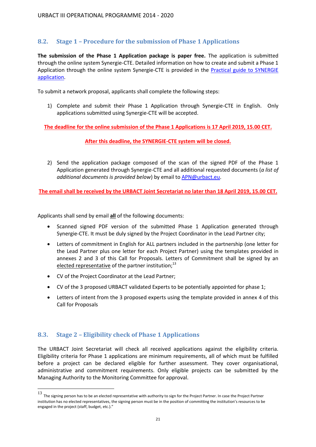## <span id="page-20-0"></span>**8.2. Stage 1 – Procedure for the submission of Phase 1 Applications**

**The submission of the Phase 1 Application package is paper free.** The application is submitted through the online system Synergie-CTE. Detailed information on how to create and submit a Phase 1 Application through the online system Synergie-CTE is provided in the Practical guide to SYNERGIE [application.](http://urbact.eu/files/practical-guide-synergie-application-call-proposals-action-planning-networks)

To submit a network proposal, applicants shall complete the following steps:

1) Complete and submit their Phase 1 Application through Synergie-CTE in English. Only applications submitted using Synergie-CTE will be accepted.

**The deadline for the online submission of the Phase 1 Applications is 17 April 2019, 15.00 CET.**

#### **After this deadline, the SYNERGIE-CTE system will be closed.**

2) Send the application package composed of the scan of the signed PDF of the Phase 1 Application generated through Synergie-CTE and all additional requested documents (*a list of additional documents is provided below*) by email to [APN@urbact.eu.](mailto:APN@urbact.eu)

**The email shall be received by the URBACT Joint Secretariat no later than 18 April 2019, 15.00 CET.**

Applicants shall send by email **all** of the following documents:

- Scanned signed PDF version of the submitted Phase 1 Application generated through Synergie-CTE. It must be duly signed by the Project Coordinator in the Lead Partner city;
- Letters of commitment in English for ALL partners included in the partnership (one letter for the Lead Partner plus one letter for each Project Partner) using the templates provided in annexes 2 and 3 of this Call for Proposals. Letters of Commitment shall be signed by an elected representative of the partner institution;<sup>13</sup>
- CV of the Project Coordinator at the Lead Partner;
- CV of the 3 proposed URBACT validated Experts to be potentially appointed for phase 1;
- Letters of intent from the 3 proposed experts using the template provided in annex 4 of this Call for Proposals

## <span id="page-20-1"></span>**8.3. Stage 2 – Eligibility check of Phase 1 Applications**

The URBACT Joint Secretariat will check all received applications against the eligibility criteria. Eligibility criteria for Phase 1 applications are minimum requirements, all of which must be fulfilled before a project can be declared eligible for further assessment. They cover organisational, administrative and commitment requirements. Only eligible projects can be submitted by the Managing Authority to the Monitoring Committee for approval.

 13 The signing person has to be an elected representative with authority to sign for the Project Partner. In case the Project Partner institution has no elected representatives, the signing person must be in the position of committing the institution's resources to be engaged in the project (staff, budget, etc.)."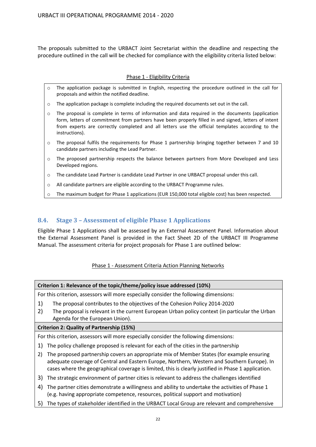The proposals submitted to the URBACT Joint Secretariat within the deadline and respecting the procedure outlined in the call will be checked for compliance with the eligibility criteria listed below:

#### Phase 1 - Eligibility Criteria

- o The application package is submitted in English, respecting the procedure outlined in the call for proposals and within the notified deadline.
- o The application package is complete including the required documents set out in the call.
- $\circ$  The proposal is complete in terms of information and data required in the documents (application form, letters of commitment from partners have been properly filled in and signed, letters of intent from experts are correctly completed and all letters use the official templates according to the instructions).
- $\circ$  The proposal fulfils the requirements for Phase 1 partnership bringing together between 7 and 10 candidate partners including the Lead Partner.
- o The proposed partnership respects the balance between partners from More Developed and Less Developed regions.
- o The candidate Lead Partner is candidate Lead Partner in one URBACT proposal under this call.
- o All candidate partners are eligible according to the URBACT Programme rules.
- o The maximum budget for Phase 1 applications (EUR 150,000 total eligible cost) has been respected.

## <span id="page-21-0"></span>**8.4. Stage 3 – Assessment of eligible Phase 1 Applications**

Eligible Phase 1 Applications shall be assessed by an External Assessment Panel. Information about the External Assessment Panel is provided in the Fact Sheet 2D of the URBACT III Programme Manual. The assessment criteria for project proposals for Phase 1 are outlined below:

## Phase 1 - Assessment Criteria Action Planning Networks

#### **Criterion 1: Relevance of the topic/theme/policy issue addressed (10%)**

For this criterion, assessors will more especially consider the following dimensions:

- 1) The proposal contributes to the objectives of the Cohesion Policy 2014-2020
- 2) The proposal is relevant in the current European Urban policy context (in particular the Urban Agenda for the European Union).

#### **Criterion 2: Quality of Partnership (15%)**

For this criterion, assessors will more especially consider the following dimensions:

- 1) The policy challenge proposed is relevant for each of the cities in the partnership
- 2) The proposed partnership covers an appropriate mix of Member States (for example ensuring adequate coverage of Central and Eastern Europe, Northern, Western and Southern Europe). In cases where the geographical coverage is limited, this is clearly justified in Phase 1 application.
- 3) The strategic environment of partner cities is relevant to address the challenges identified
- 4) The partner cities demonstrate a willingness and ability to undertake the activities of Phase 1 (e.g. having appropriate competence, resources, political support and motivation)
- 5) The types of stakeholder identified in the URBACT Local Group are relevant and comprehensive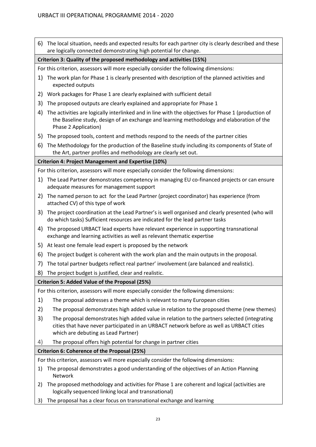6) The local situation, needs and expected results for each partner city is clearly described and these are logically connected demonstrating high potential for change. **Criterion 3: Quality of the proposed methodology and activities (15%)**  For this criterion, assessors will more especially consider the following dimensions: 1) The work plan for Phase 1 is clearly presented with description of the planned activities and expected outputs 2) Work packages for Phase 1 are clearly explained with sufficient detail 3) The proposed outputs are clearly explained and appropriate for Phase 1 4) The activities are logically interlinked and in line with the objectives for Phase 1 (production of the Baseline study, design of an exchange and learning methodology and elaboration of the Phase 2 Application) 5) The proposed tools, content and methods respond to the needs of the partner cities 6) The Methodology for the production of the Baseline study including its components of State of the Art, partner profiles and methodology are clearly set out. **Criterion 4: Project Management and Expertise (10%)** For this criterion, assessors will more especially consider the following dimensions: 1) The Lead Partner demonstrates competency in managing EU co-financed projects or can ensure adequate measures for management support 2) The named person to act for the Lead Partner (project coordinator) has experience (from attached CV) of this type of work 3) The project coordination at the Lead Partner's is well organised and clearly presented (who will do which tasks) Sufficient resources are indicated for the lead partner tasks 4) The proposed URBACT lead experts have relevant experience in supporting transnational exchange and learning activities as well as relevant thematic expertise 5) At least one female lead expert is proposed by the network 6) The project budget is coherent with the work plan and the main outputs in the proposal. 7) The total partner budgets reflect real partner' involvement (are balanced and realistic). 8) The project budget is justified, clear and realistic. **Criterion 5: Added Value of the Proposal (25%)**  For this criterion, assessors will more especially consider the following dimensions: 1) The proposal addresses a theme which is relevant to many European cities 2) The proposal demonstrates high added value in relation to the proposed theme (new themes) 3) The proposal demonstrates high added value in relation to the partners selected (integrating cities that have never participated in an URBACT network before as well as URBACT cities which are debuting as Lead Partner) 4) The proposal offers high potential for change in partner cities **Criterion 6: Coherence of the Proposal (25%)** For this criterion, assessors will more especially consider the following dimensions: 1) The proposal demonstrates a good understanding of the objectives of an Action Planning Network 2) The proposed methodology and activities for Phase 1 are coherent and logical (activities are logically sequenced linking local and transnational) 3) The proposal has a clear focus on transnational exchange and learning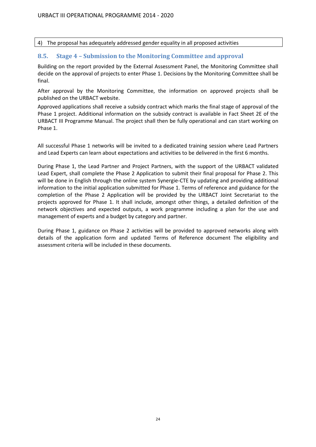4) The proposal has adequately addressed gender equality in all proposed activities

## <span id="page-23-0"></span>**8.5. Stage 4 – Submission to the Monitoring Committee and approval**

Building on the report provided by the External Assessment Panel, the Monitoring Committee shall decide on the approval of projects to enter Phase 1. Decisions by the Monitoring Committee shall be final.

After approval by the Monitoring Committee, the information on approved projects shall be published on the URBACT website.

Approved applications shall receive a subsidy contract which marks the final stage of approval of the Phase 1 project. Additional information on the subsidy contract is available in Fact Sheet 2E of the URBACT III Programme Manual. The project shall then be fully operational and can start working on Phase 1.

All successful Phase 1 networks will be invited to a dedicated training session where Lead Partners and Lead Experts can learn about expectations and activities to be delivered in the first 6 months.

During Phase 1, the Lead Partner and Project Partners, with the support of the URBACT validated Lead Expert, shall complete the Phase 2 Application to submit their final proposal for Phase 2. This will be done in English through the online system Synergie-CTE by updating and providing additional information to the initial application submitted for Phase 1. Terms of reference and guidance for the completion of the Phase 2 Application will be provided by the URBACT Joint Secretariat to the projects approved for Phase 1. It shall include, amongst other things, a detailed definition of the network objectives and expected outputs, a work programme including a plan for the use and management of experts and a budget by category and partner.

During Phase 1, guidance on Phase 2 activities will be provided to approved networks along with details of the application form and updated Terms of Reference document The eligibility and assessment criteria will be included in these documents.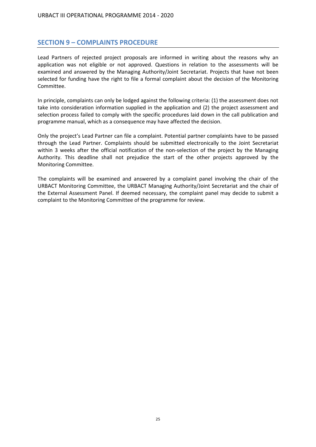## <span id="page-24-0"></span>**SECTION 9 – COMPLAINTS PROCEDURE**

Lead Partners of rejected project proposals are informed in writing about the reasons why an application was not eligible or not approved. Questions in relation to the assessments will be examined and answered by the Managing Authority/Joint Secretariat. Projects that have not been selected for funding have the right to file a formal complaint about the decision of the Monitoring Committee.

In principle, complaints can only be lodged against the following criteria: (1) the assessment does not take into consideration information supplied in the application and (2) the project assessment and selection process failed to comply with the specific procedures laid down in the call publication and programme manual, which as a consequence may have affected the decision.

Only the project's Lead Partner can file a complaint. Potential partner complaints have to be passed through the Lead Partner. Complaints should be submitted electronically to the Joint Secretariat within 3 weeks after the official notification of the non-selection of the project by the Managing Authority. This deadline shall not prejudice the start of the other projects approved by the Monitoring Committee.

The complaints will be examined and answered by a complaint panel involving the chair of the URBACT Monitoring Committee, the URBACT Managing Authority/Joint Secretariat and the chair of the External Assessment Panel. If deemed necessary, the complaint panel may decide to submit a complaint to the Monitoring Committee of the programme for review.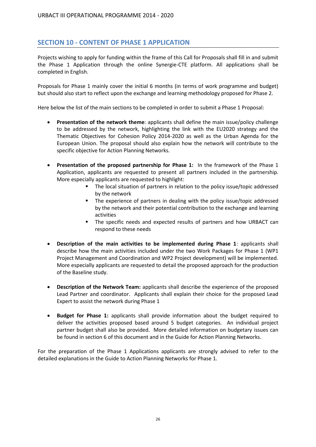## <span id="page-25-0"></span>**SECTION 10 - CONTENT OF PHASE 1 APPLICATION**

Projects wishing to apply for funding within the frame of this Call for Proposals shall fill in and submit the Phase 1 Application through the online Synergie-CTE platform. All applications shall be completed in English.

Proposals for Phase 1 mainly cover the initial 6 months (in terms of work programme and budget) but should also start to reflect upon the exchange and learning methodology proposed for Phase 2.

Here below the list of the main sections to be completed in order to submit a Phase 1 Proposal:

- **Presentation of the network theme**: applicants shall define the main issue/policy challenge to be addressed by the network, highlighting the link with the EU2020 strategy and the Thematic Objectives for Cohesion Policy 2014-2020 as well as the Urban Agenda for the European Union. The proposal should also explain how the network will contribute to the specific objective for Action Planning Networks.
- **Presentation of the proposed partnership for Phase 1:** In the framework of the Phase 1 Application, applicants are requested to present all partners included in the partnership. More especially applicants are requested to highlight:
	- The local situation of partners in relation to the policy issue/topic addressed by the network
	- The experience of partners in dealing with the policy issue/topic addressed by the network and their potential contribution to the exchange and learning activities
	- The specific needs and expected results of partners and how URBACT can respond to these needs
- **Description of the main activities to be implemented during Phase 1**: applicants shall describe how the main activities included under the two Work Packages for Phase 1 (WP1 Project Management and Coordination and WP2 Project development) will be implemented. More especially applicants are requested to detail the proposed approach for the production of the Baseline study.
- **Description of the Network Team:** applicants shall describe the experience of the proposed Lead Partner and coordinator. Applicants shall explain their choice for the proposed Lead Expert to assist the network during Phase 1
- **Budget for Phase 1:** applicants shall provide information about the budget required to deliver the activities proposed based around 5 budget categories. An individual project partner budget shall also be provided. More detailed information on budgetary issues can be found in section 6 of this document and in the Guide for Action Planning Networks.

For the preparation of the Phase 1 Applications applicants are strongly advised to refer to the detailed explanations in the Guide to Action Planning Networks for Phase 1.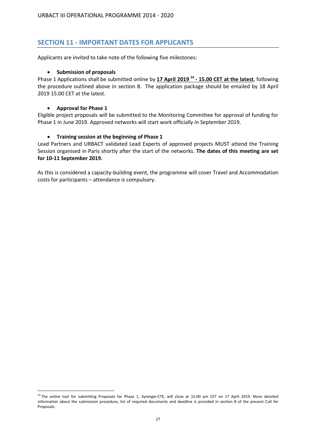## <span id="page-26-0"></span>**SECTION 11 - IMPORTANT DATES FOR APPLICANTS**

Applicants are invited to take note of the following five milestones:

#### **•** Submission of proposals

Phase 1 Applications shall be submitted online by **17 April 2019 14 - 15.00 CET at the latest**, following the procedure outlined above in section 8. The application package should be emailed by 18 April 2019 15.00 CET at the latest.

#### **Approval for Phase 1**

 $\overline{a}$ 

Eligible project proposals will be submitted to the Monitoring Committee for approval of funding for Phase 1 in June 2019. Approved networks will start work officially in September 2019.

#### **Training session at the beginning of Phase 1**

Lead Partners and URBACT validated Lead Experts of approved projects MUST attend the Training Session organised in Paris shortly after the start of the networks. **The dates of this meeting are set for 10-11 September 2019.**

As this is considered a capacity-building event, the programme will cover Travel and Accommodation costs for participants – attendance is compulsory.

<sup>&</sup>lt;sup>14</sup> The online tool for submitting Proposals for Phase 1, Synergie-CTE, will close at 15:00 pm CET on 17 April 2019. More detailed information about the submission procedure, list of required documents and deadline is provided in section 8 of the present Call for Proposals.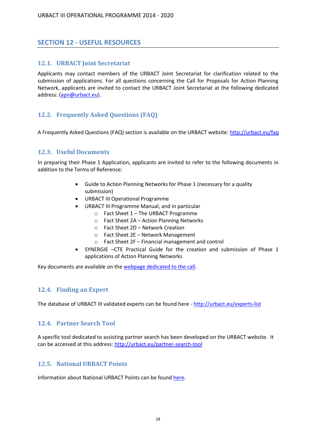## <span id="page-27-0"></span>**SECTION 12 - USEFUL RESOURCES**

### <span id="page-27-1"></span>**12.1. URBACT Joint Secretariat**

Applicants may contact members of the URBACT Joint Secretariat for clarification related to the submission of applications. For all questions concerning the Call for Proposals for Action Planning Network, applicants are invited to contact the URBACT Joint Secretariat at the following dedicated address: [\(apn@urbact.eu\)](mailto:apn@urbact.eu).

## <span id="page-27-2"></span>**12.2. Frequently Asked Questions (FAQ)**

A Frequently Asked Questions (FAQ) section is available on the URBACT website[: http://urbact.eu/faq](http://urbact.eu/faq)

## <span id="page-27-3"></span>**12.3. Useful Documents**

In preparing their Phase 1 Application, applicants are invited to refer to the following documents in addition to the Terms of Reference:

- Guide to Action Planning Networks for Phase 1 (necessary for a quality submission)
- URBACT III Operational Programme
- URBACT III Programme Manual, and in particular
	- o Fact Sheet 1 The URBACT Programme
	- o Fact Sheet 2A Action Planning Networks
	- o Fact Sheet 2D Network Creation
	- o Fact Sheet 2E Network Management
	- o Fact Sheet 2F Financial management and control
- SYNERGIE –CTE Practical Guide for the creation and submission of Phase 1 applications of Action Planning Networks

Key documents are available on th[e webpage dedicated to the call.](http://urbact.eu/urbact-last-call-action-planning-networks-now-open)

#### <span id="page-27-4"></span>**12.4. Finding an Expert**

The database of URBACT III validated experts can be found here - <http://urbact.eu/experts-list>

#### <span id="page-27-5"></span>**12.4. Partner Search Tool**

A specific tool dedicated to assisting partner search has been developed on the URBACT website. It can be accessed at this address[: http://urbact.eu/partner-search-tool](http://urbact.eu/partner-search-tool)

#### <span id="page-27-6"></span>**12.5. National URBACT Points**

Information about National URBACT Points can be found [here.](http://urbact.eu/files/national-urbact-points-contact-details)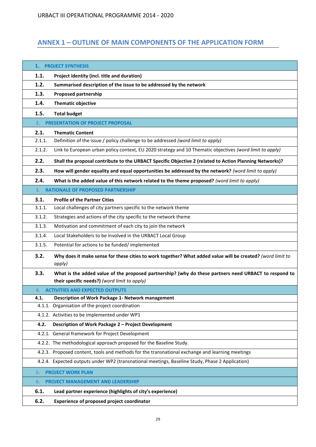# <span id="page-28-0"></span>**ANNEX 1 – OUTLINE OF MAIN COMPONENTS OF THE APPLICATION FORM**

| 1.     | <b>PROJECT SYNTHESIS</b>                                                                                             |  |  |
|--------|----------------------------------------------------------------------------------------------------------------------|--|--|
| 1.1.   | Project identity (incl. title and duration)                                                                          |  |  |
| 1.2.   | Summarised description of the issue to be addressed by the network                                                   |  |  |
| 1.3.   | <b>Proposed partnership</b>                                                                                          |  |  |
| 1.4.   | <b>Thematic objective</b>                                                                                            |  |  |
| 1.5.   | <b>Total budget</b>                                                                                                  |  |  |
| 2.     | PRESENTATION OF PROJECT PROPOSAL                                                                                     |  |  |
| 2.1.   | <b>Thematic Content</b>                                                                                              |  |  |
| 2.1.1. | Definition of the issue / policy challenge to be addressed (word limit to apply)                                     |  |  |
| 2.1.2. | Link to European urban policy context, EU 2020 strategy and 10 Thematic objectives (word limit to apply)             |  |  |
| 2.2.   | Shall the proposal contribute to the URBACT Specific Objective 2 (related to Action Planning Networks)?              |  |  |
| 2.3.   | How will gender equality and equal opportunities be addressed by the network? (word limit to apply)                  |  |  |
| 2.4.   | What is the added value of this network related to the theme proposed? (word limit to apply)                         |  |  |
| 3.     | <b>RATIONALE OF PROPOSED PARTNERSHIP</b>                                                                             |  |  |
| 3.1.   | <b>Profile of the Partner Cities</b>                                                                                 |  |  |
| 3.1.1. | Local challenges of city partners specific to the network theme                                                      |  |  |
| 3.1.2. | Strategies and actions of the city specific to the network theme                                                     |  |  |
| 3.1.3. | Motivation and commitment of each city to join the network                                                           |  |  |
| 3.1.4. | Local Stakeholders to be involved in the URBACT Local Group                                                          |  |  |
| 3.1.5. | Potential for actions to be funded/implemented                                                                       |  |  |
| 3.2.   | Why does it make sense for these cities to work together? What added value will be created? (word limit to<br>apply) |  |  |
| 3.3.   | What is the added value of the proposed partnership? (why do these partners need URBACT to respond to                |  |  |
|        | their specific needs?) (word limit to apply)                                                                         |  |  |
| 4.     | <b>ACTIVITIES AND EXPECTED OUTPUTS</b>                                                                               |  |  |
| 4.1.   | Description of Work Package 1- Network management                                                                    |  |  |
|        | 4.1.1. Organisation of the project coordination                                                                      |  |  |
|        | 4.1.2. Activities to be implemented under WP1                                                                        |  |  |
| 4.2.   | Description of Work Package 2 - Project Development                                                                  |  |  |
|        | 4.2.1. General framework for Project Development                                                                     |  |  |
|        | 4.2.2. The methodological approach proposed for the Baseline Study.                                                  |  |  |
|        | 4.2.3. Proposed content, tools and methods for the transnational exchange and learning meetings                      |  |  |
|        | 4.2.4. Expected outputs under WP2 (transnational meetings, Baseline Study, Phase 2 Application)                      |  |  |
| 5.     | <b>PROJECT WORK PLAN</b>                                                                                             |  |  |
| 6.     | <b>PROJECT MANAGEMENT AND LEADERSHIP</b>                                                                             |  |  |
| 6.1.   | Lead partner experience (highlights of city's experience)                                                            |  |  |
| 6.2.   | Experience of proposed project coordinator                                                                           |  |  |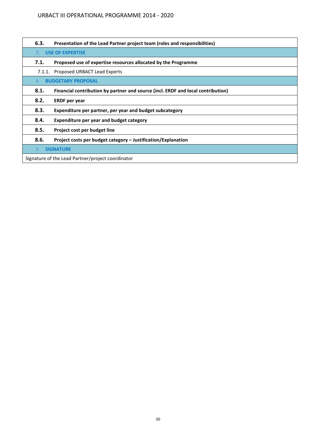### URBACT III OPERATIONAL PROGRAMME 2014 - 2020

| 6.3.                                              | Presentation of the Lead Partner project team (roles and responsibilities)       |
|---------------------------------------------------|----------------------------------------------------------------------------------|
| <b>USE OF EXPERTISE</b><br>7 <sup>1</sup>         |                                                                                  |
| 7.1.                                              | Proposed use of expertise resources allocated by the Programme                   |
| 7.1.1.                                            | Proposed URBACT Lead Experts                                                     |
| 8.                                                | <b>BUDGETARY PROPOSAL</b>                                                        |
| 8.1.                                              | Financial contribution by partner and source (incl. ERDF and local contribution) |
| 8.2.                                              | <b>ERDF</b> per year                                                             |
| 8.3.                                              | Expenditure per partner, per year and budget subcategory                         |
| 8.4.                                              | Expenditure per year and budget category                                         |
| 8.5.                                              | Project cost per budget line                                                     |
| 8.6.                                              | Project costs per budget category - Justification/Explanation                    |
| <b>SIGNATURE</b><br>9.                            |                                                                                  |
| Signature of the Lead Partner/project coordinator |                                                                                  |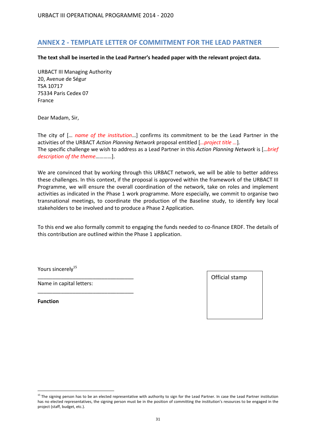## <span id="page-30-0"></span>**ANNEX 2 - TEMPLATE LETTER OF COMMITMENT FOR THE LEAD PARTNER**

**The text shall be inserted in the Lead Partner's headed paper with the relevant project data.**

URBACT III Managing Authority 20, Avenue de Ségur TSA 10717 75334 Paris Cedex 07 France

Dear Madam, Sir,

The city of [… *name of the institution*…] confirms its commitment to be the Lead Partner in the activities of the URBACT *Action Planning Network* proposal entitled [*…project title …*]*.* The specific challenge we wish to address as a Lead Partner in this *Action Planning Network* is […*brief description of the theme*…………].

We are convinced that by working through this URBACT network, we will be able to better address these challenges. In this context, if the proposal is approved within the framework of the URBACT III Programme, we will ensure the overall coordination of the network, take on roles and implement activities as indicated in the Phase 1 work programme. More especially, we commit to organise two transnational meetings, to coordinate the production of the Baseline study, to identify key local stakeholders to be involved and to produce a Phase 2 Application.

To this end we also formally commit to engaging the funds needed to co-finance ERDF. The details of this contribution are outlined within the Phase 1 application.

Yours sincerely<sup>15</sup>

Name in capital letters:

\_\_\_\_\_\_\_\_\_\_\_\_\_\_\_\_\_\_\_\_\_\_\_\_\_\_\_\_\_\_\_\_\_

\_\_\_\_\_\_\_\_\_\_\_\_\_\_\_\_\_\_\_\_\_\_\_\_\_\_\_\_\_\_\_\_\_

**Function**

 $\overline{a}$ 



<sup>&</sup>lt;sup>15</sup> The signing person has to be an elected representative with authority to sign for the Lead Partner. In case the Lead Partner institution has no elected representatives, the signing person must be in the position of committing the institution's resources to be engaged in the project (staff, budget, etc.).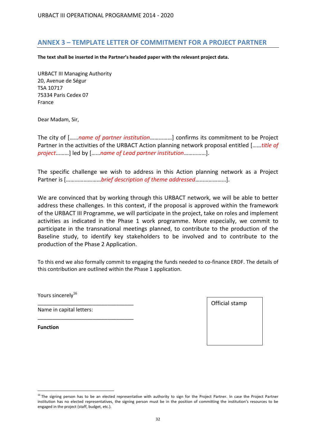## <span id="page-31-0"></span>**ANNEX 3 – TEMPLATE LETTER OF COMMITMENT FOR A PROJECT PARTNER**

**The text shall be inserted in the Partner's headed paper with the relevant project data.**

URBACT III Managing Authority 20, Avenue de Ségur TSA 10717 75334 Paris Cedex 07 France

Dear Madam, Sir,

The city of [……*name of partner institution*……………] confirms its commitment to be Project Partner in the activities of the URBACT Action planning network proposal entitled [……*title of project*………] led by [……*name of Lead partner institution*……………].

The specific challenge we wish to address in this Action planning network as a Project Partner is [……………………*brief description of theme addressed*…………………].

We are convinced that by working through this URBACT network, we will be able to better address these challenges. In this context, if the proposal is approved within the framework of the URBACT III Programme, we will participate in the project, take on roles and implement activities as indicated in the Phase 1 work programme. More especially, we commit to participate in the transnational meetings planned, to contribute to the production of the Baseline study, to identify key stakeholders to be involved and to contribute to the production of the Phase 2 Application.

To this end we also formally commit to engaging the funds needed to co-finance ERDF. The details of this contribution are outlined within the Phase 1 application.

Yours sincerely<sup>16</sup>

Name in capital letters:

\_\_\_\_\_\_\_\_\_\_\_\_\_\_\_\_\_\_\_\_\_\_\_\_\_\_\_\_\_\_\_\_\_

\_\_\_\_\_\_\_\_\_\_\_\_\_\_\_\_\_\_\_\_\_\_\_\_\_\_\_\_\_\_\_\_\_

**Function**

 $\overline{a}$ 



<sup>&</sup>lt;sup>16</sup> The signing person has to be an elected representative with authority to sign for the Project Partner. In case the Project Partner institution has no elected representatives, the signing person must be in the position of committing the institution's resources to be engaged in the project (staff, budget, etc.).